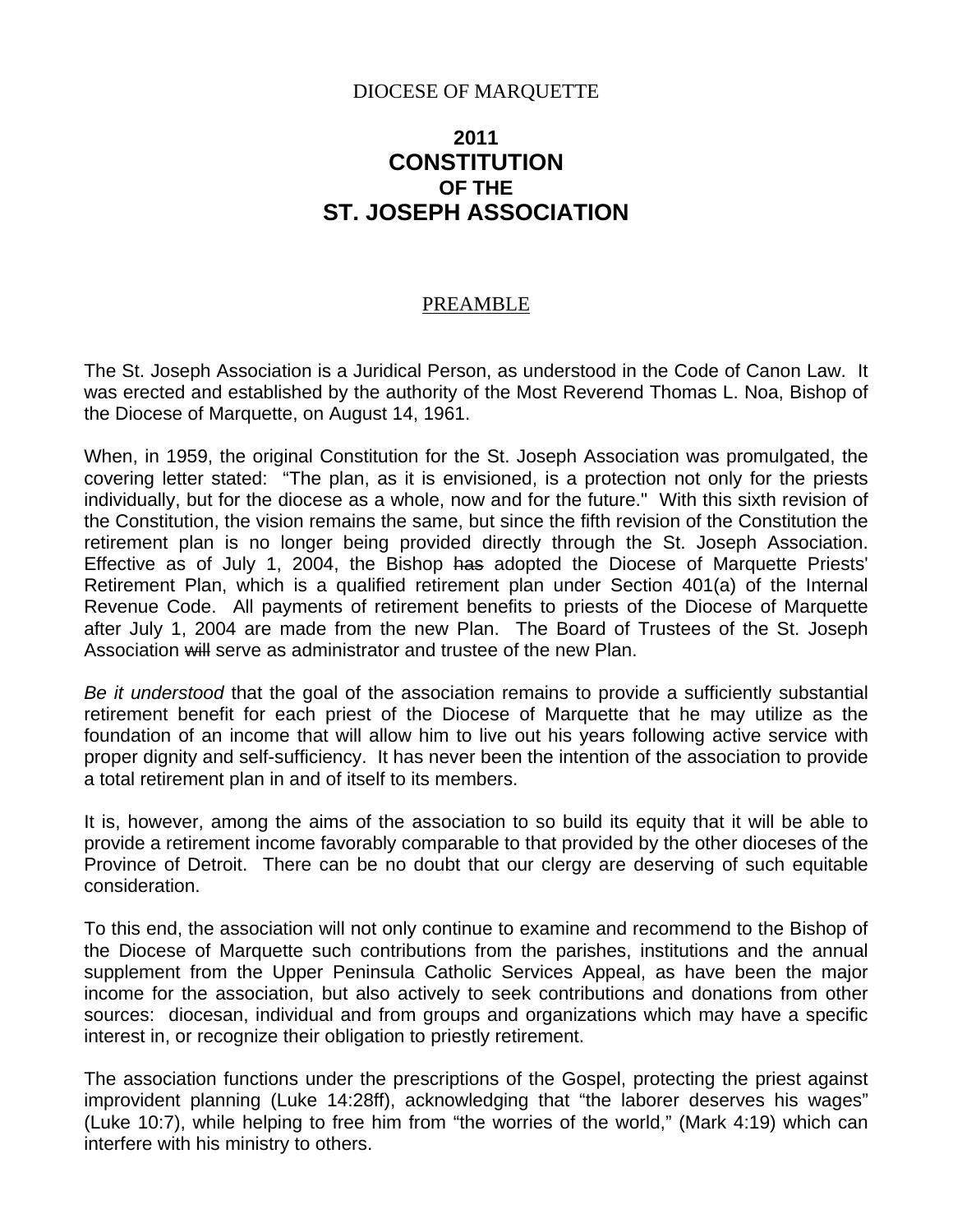### DIOCESE OF MARQUETTE

# **2011 CONSTITUTION OF THE ST. JOSEPH ASSOCIATION**

#### PREAMBLE

The St. Joseph Association is a Juridical Person, as understood in the Code of Canon Law. It was erected and established by the authority of the Most Reverend Thomas L. Noa, Bishop of the Diocese of Marquette, on August 14, 1961.

When, in 1959, the original Constitution for the St. Joseph Association was promulgated, the covering letter stated: "The plan, as it is envisioned, is a protection not only for the priests individually, but for the diocese as a whole, now and for the future." With this sixth revision of the Constitution, the vision remains the same, but since the fifth revision of the Constitution the retirement plan is no longer being provided directly through the St. Joseph Association. Effective as of July 1, 2004, the Bishop has adopted the Diocese of Marquette Priests' Retirement Plan, which is a qualified retirement plan under Section 401(a) of the Internal Revenue Code. All payments of retirement benefits to priests of the Diocese of Marquette after July 1, 2004 are made from the new Plan. The Board of Trustees of the St. Joseph Association will serve as administrator and trustee of the new Plan.

*Be it understood* that the goal of the association remains to provide a sufficiently substantial retirement benefit for each priest of the Diocese of Marquette that he may utilize as the foundation of an income that will allow him to live out his years following active service with proper dignity and self-sufficiency. It has never been the intention of the association to provide a total retirement plan in and of itself to its members.

It is, however, among the aims of the association to so build its equity that it will be able to provide a retirement income favorably comparable to that provided by the other dioceses of the Province of Detroit. There can be no doubt that our clergy are deserving of such equitable consideration.

To this end, the association will not only continue to examine and recommend to the Bishop of the Diocese of Marquette such contributions from the parishes, institutions and the annual supplement from the Upper Peninsula Catholic Services Appeal, as have been the major income for the association, but also actively to seek contributions and donations from other sources: diocesan, individual and from groups and organizations which may have a specific interest in, or recognize their obligation to priestly retirement.

The association functions under the prescriptions of the Gospel, protecting the priest against improvident planning (Luke 14:28ff), acknowledging that "the laborer deserves his wages" (Luke 10:7), while helping to free him from "the worries of the world," (Mark 4:19) which can interfere with his ministry to others.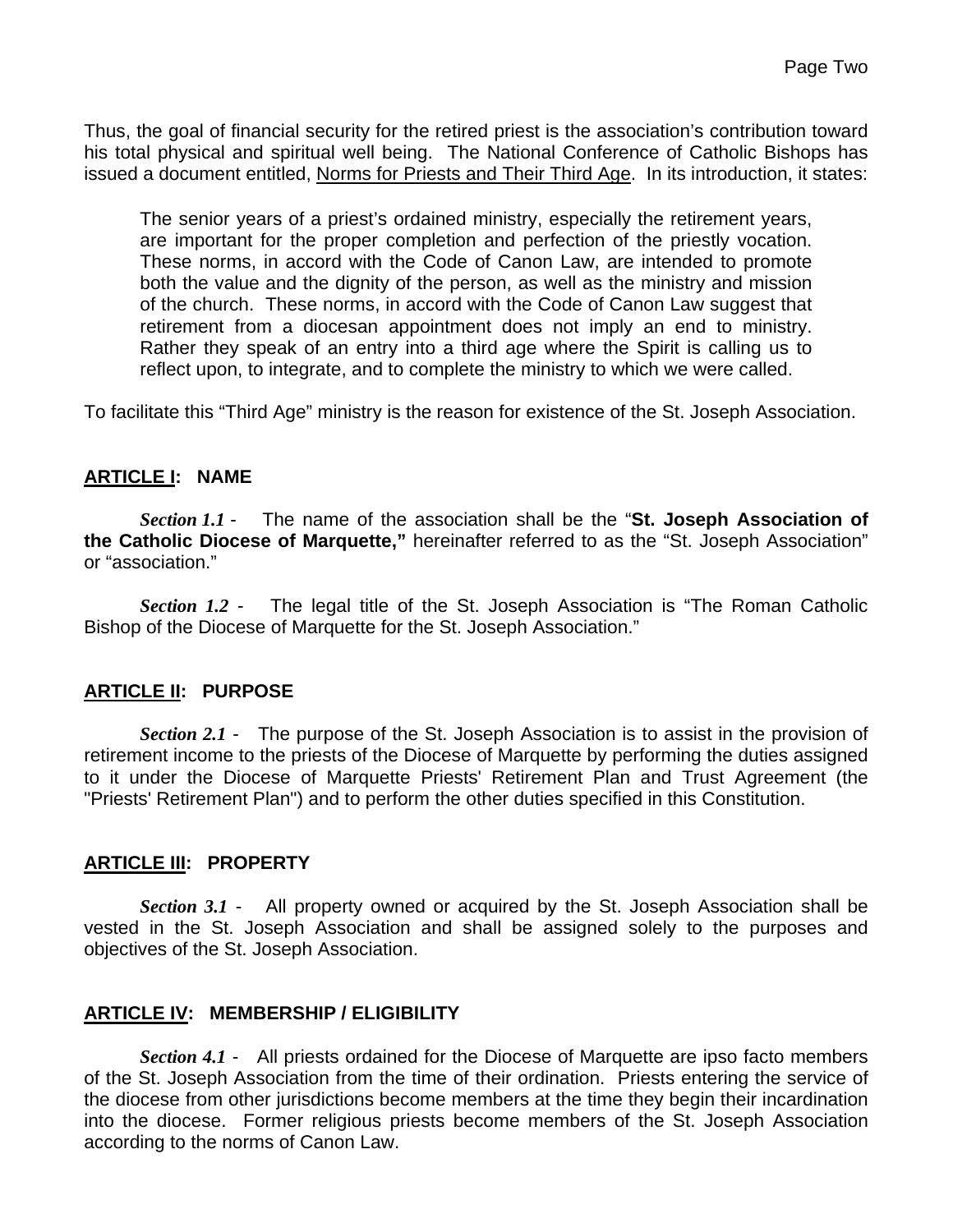Thus, the goal of financial security for the retired priest is the association's contribution toward his total physical and spiritual well being. The National Conference of Catholic Bishops has issued a document entitled, Norms for Priests and Their Third Age. In its introduction, it states:

The senior years of a priest's ordained ministry, especially the retirement years, are important for the proper completion and perfection of the priestly vocation. These norms, in accord with the Code of Canon Law, are intended to promote both the value and the dignity of the person, as well as the ministry and mission of the church. These norms, in accord with the Code of Canon Law suggest that retirement from a diocesan appointment does not imply an end to ministry. Rather they speak of an entry into a third age where the Spirit is calling us to reflect upon, to integrate, and to complete the ministry to which we were called.

To facilitate this "Third Age" ministry is the reason for existence of the St. Joseph Association.

#### **ARTICLE I: NAME**

*Section 1.1* - The name of the association shall be the "**St. Joseph Association of the Catholic Diocese of Marquette,"** hereinafter referred to as the "St. Joseph Association" or "association."

*Section 1.2* - The legal title of the St. Joseph Association is "The Roman Catholic Bishop of the Diocese of Marquette for the St. Joseph Association."

#### **ARTICLE II: PURPOSE**

*Section 2.1* - The purpose of the St. Joseph Association is to assist in the provision of retirement income to the priests of the Diocese of Marquette by performing the duties assigned to it under the Diocese of Marquette Priests' Retirement Plan and Trust Agreement (the "Priests' Retirement Plan") and to perform the other duties specified in this Constitution.

### **ARTICLE III: PROPERTY**

*Section 3.1* - All property owned or acquired by the St. Joseph Association shall be vested in the St. Joseph Association and shall be assigned solely to the purposes and objectives of the St. Joseph Association.

#### **ARTICLE IV: MEMBERSHIP / ELIGIBILITY**

*Section 4.1* - All priests ordained for the Diocese of Marquette are ipso facto members of the St. Joseph Association from the time of their ordination. Priests entering the service of the diocese from other jurisdictions become members at the time they begin their incardination into the diocese. Former religious priests become members of the St. Joseph Association according to the norms of Canon Law.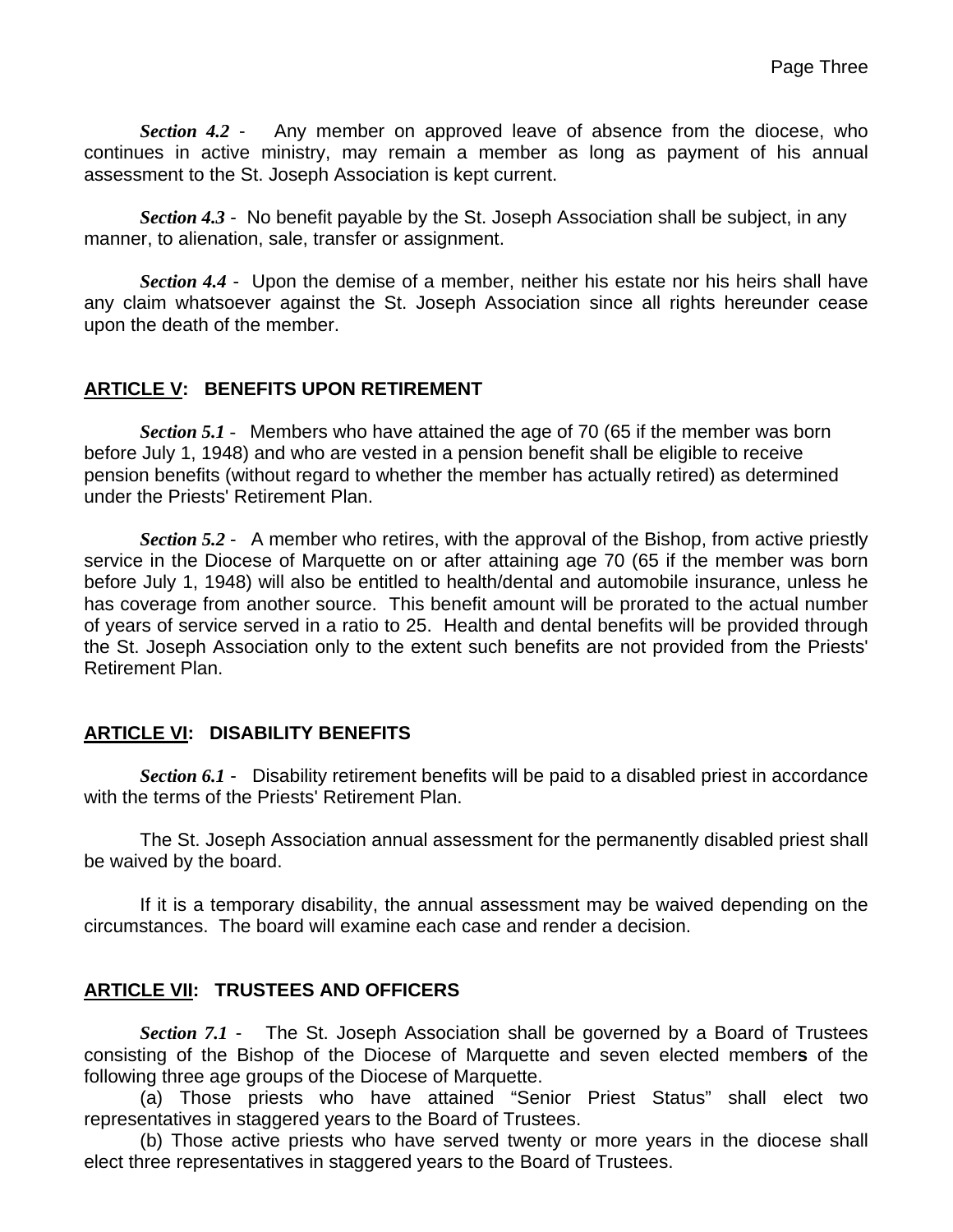*Section 4.2* - Any member on approved leave of absence from the diocese, who continues in active ministry, may remain a member as long as payment of his annual assessment to the St. Joseph Association is kept current.

*Section 4.3* - No benefit payable by the St. Joseph Association shall be subject, in any manner, to alienation, sale, transfer or assignment.

*Section 4.4* - Upon the demise of a member, neither his estate nor his heirs shall have any claim whatsoever against the St. Joseph Association since all rights hereunder cease upon the death of the member.

### **ARTICLE V: BENEFITS UPON RETIREMENT**

*Section 5.1* - Members who have attained the age of 70 (65 if the member was born before July 1, 1948) and who are vested in a pension benefit shall be eligible to receive pension benefits (without regard to whether the member has actually retired) as determined under the Priests' Retirement Plan.

*Section 5.2* -A member who retires, with the approval of the Bishop, from active priestly service in the Diocese of Marquette on or after attaining age 70 (65 if the member was born before July 1, 1948) will also be entitled to health/dental and automobile insurance, unless he has coverage from another source. This benefit amount will be prorated to the actual number of years of service served in a ratio to 25. Health and dental benefits will be provided through the St. Joseph Association only to the extent such benefits are not provided from the Priests' Retirement Plan.

#### **ARTICLE VI: DISABILITY BENEFITS**

*Section 6.1* - Disability retirement benefits will be paid to a disabled priest in accordance with the terms of the Priests' Retirement Plan.

 The St. Joseph Association annual assessment for the permanently disabled priest shall be waived by the board.

 If it is a temporary disability, the annual assessment may be waived depending on the circumstances. The board will examine each case and render a decision.

### **ARTICLE VII: TRUSTEES AND OFFICERS**

*Section 7.1* - The St. Joseph Association shall be governed by a Board of Trustees consisting of the Bishop of the Diocese of Marquette and seven elected member**s** of the following three age groups of the Diocese of Marquette.

(a) Those priests who have attained "Senior Priest Status" shall elect two representatives in staggered years to the Board of Trustees.

 (b) Those active priests who have served twenty or more years in the diocese shall elect three representatives in staggered years to the Board of Trustees.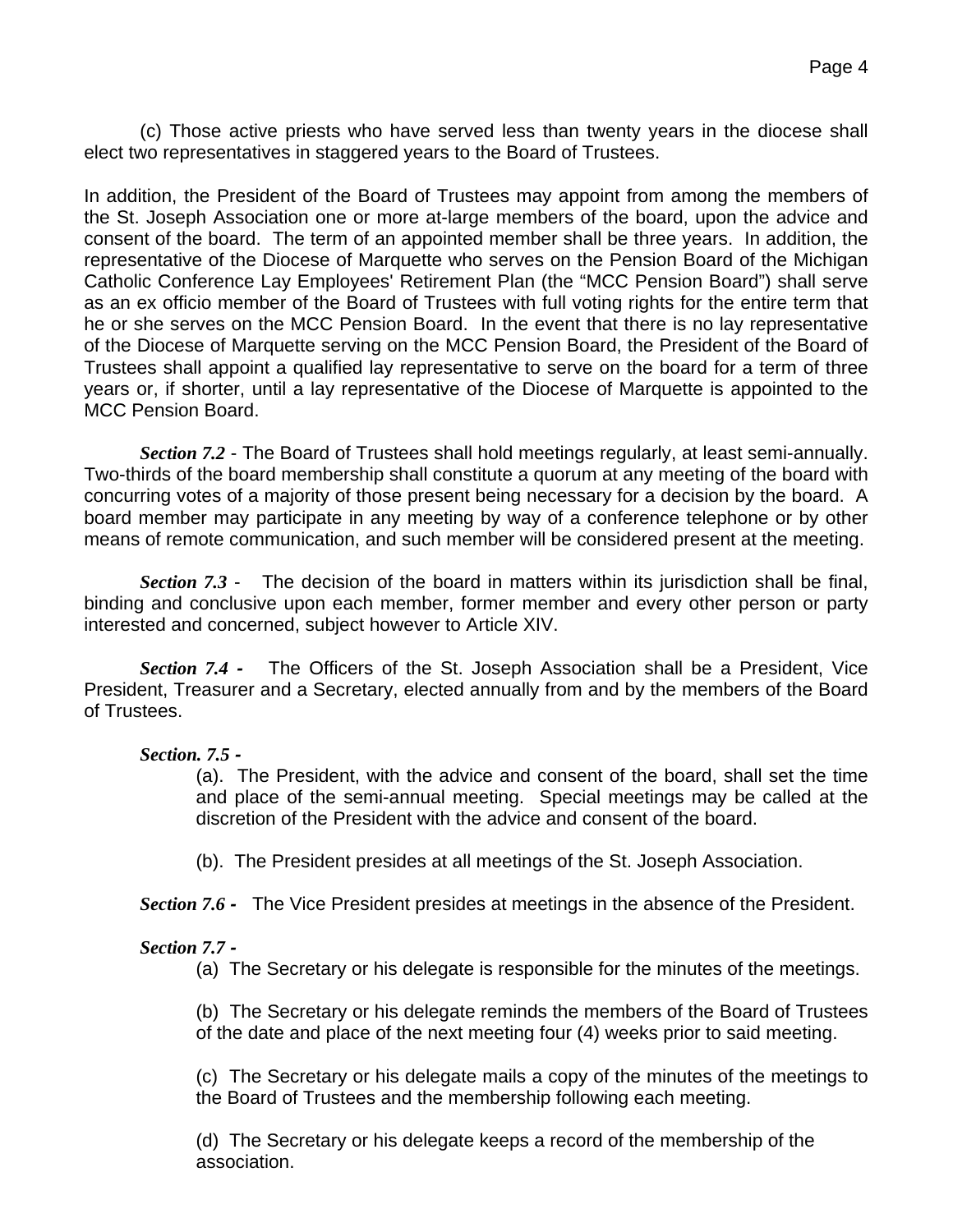(c) Those active priests who have served less than twenty years in the diocese shall elect two representatives in staggered years to the Board of Trustees.

In addition, the President of the Board of Trustees may appoint from among the members of the St. Joseph Association one or more at-large members of the board, upon the advice and consent of the board. The term of an appointed member shall be three years. In addition, the representative of the Diocese of Marquette who serves on the Pension Board of the Michigan Catholic Conference Lay Employees' Retirement Plan (the "MCC Pension Board") shall serve as an ex officio member of the Board of Trustees with full voting rights for the entire term that he or she serves on the MCC Pension Board. In the event that there is no lay representative of the Diocese of Marquette serving on the MCC Pension Board, the President of the Board of Trustees shall appoint a qualified lay representative to serve on the board for a term of three years or, if shorter, until a lay representative of the Diocese of Marquette is appointed to the MCC Pension Board.

*Section 7.2* - The Board of Trustees shall hold meetings regularly, at least semi-annually. Two-thirds of the board membership shall constitute a quorum at any meeting of the board with concurring votes of a majority of those present being necessary for a decision by the board. A board member may participate in any meeting by way of a conference telephone or by other means of remote communication, and such member will be considered present at the meeting.

*Section 7.3* - The decision of the board in matters within its jurisdiction shall be final, binding and conclusive upon each member, former member and every other person or party interested and concerned, subject however to Article XIV.

*Section 7.4 -* The Officers of the St. Joseph Association shall be a President, Vice President, Treasurer and a Secretary, elected annually from and by the members of the Board of Trustees.

#### *Section. 7.5 -*

(a). The President, with the advice and consent of the board, shall set the time and place of the semi-annual meeting. Special meetings may be called at the discretion of the President with the advice and consent of the board.

(b). The President presides at all meetings of the St. Joseph Association.

*Section 7.6 -* The Vice President presides at meetings in the absence of the President.

### *Section 7.7 -*

(a) The Secretary or his delegate is responsible for the minutes of the meetings.

(b) The Secretary or his delegate reminds the members of the Board of Trustees of the date and place of the next meeting four (4) weeks prior to said meeting.

(c) The Secretary or his delegate mails a copy of the minutes of the meetings to the Board of Trustees and the membership following each meeting.

(d) The Secretary or his delegate keeps a record of the membership of the association.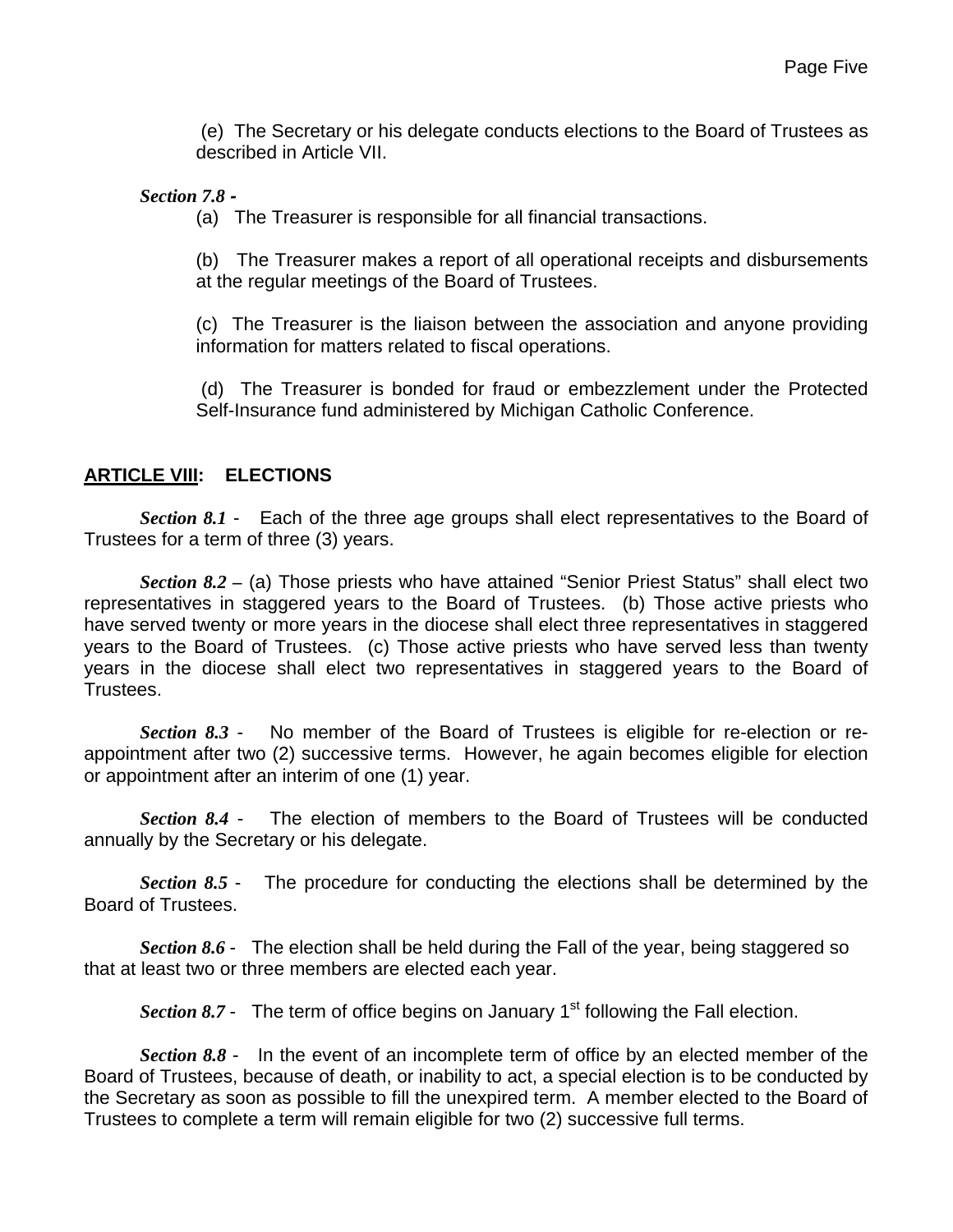(e) The Secretary or his delegate conducts elections to the Board of Trustees as described in Article VII.

#### *Section 7.8 -*

(a) The Treasurer is responsible for all financial transactions.

(b) The Treasurer makes a report of all operational receipts and disbursements at the regular meetings of the Board of Trustees.

(c) The Treasurer is the liaison between the association and anyone providing information for matters related to fiscal operations.

 (d) The Treasurer is bonded for fraud or embezzlement under the Protected Self-Insurance fund administered by Michigan Catholic Conference.

#### **ARTICLE VIII: ELECTIONS**

*Section 8.1* - Each of the three age groups shall elect representatives to the Board of Trustees for a term of three (3) years.

*Section 8.2 –* (a) Those priests who have attained "Senior Priest Status" shall elect two representatives in staggered years to the Board of Trustees. (b) Those active priests who have served twenty or more years in the diocese shall elect three representatives in staggered years to the Board of Trustees. (c) Those active priests who have served less than twenty years in the diocese shall elect two representatives in staggered years to the Board of Trustees.

*Section 8.3* - No member of the Board of Trustees is eligible for re-election or reappointment after two (2) successive terms. However, he again becomes eligible for election or appointment after an interim of one (1) year.

*Section 8.4* - The election of members to the Board of Trustees will be conducted annually by the Secretary or his delegate.

*Section 8.5* - The procedure for conducting the elections shall be determined by the Board of Trustees.

*Section 8.6* - The election shall be held during the Fall of the year, being staggered so that at least two or three members are elected each year.

*Section 8.7* - The term of office begins on January 1<sup>st</sup> following the Fall election.

*Section 8.8* - In the event of an incomplete term of office by an elected member of the Board of Trustees, because of death, or inability to act, a special election is to be conducted by the Secretary as soon as possible to fill the unexpired term. A member elected to the Board of Trustees to complete a term will remain eligible for two (2) successive full terms.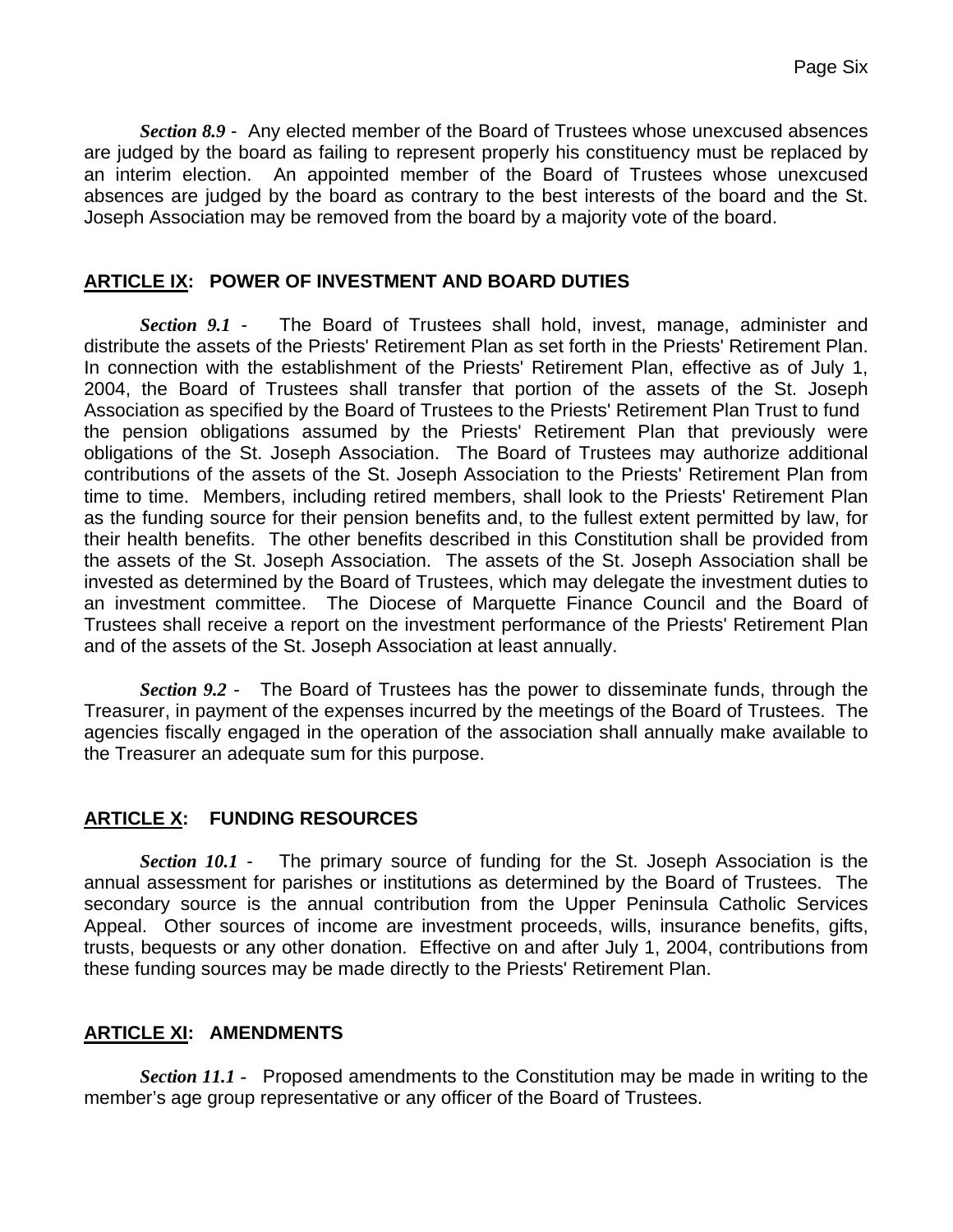*Section 8.9* - Any elected member of the Board of Trustees whose unexcused absences are judged by the board as failing to represent properly his constituency must be replaced by an interim election. An appointed member of the Board of Trustees whose unexcused absences are judged by the board as contrary to the best interests of the board and the St. Joseph Association may be removed from the board by a majority vote of the board.

### **ARTICLE IX: POWER OF INVESTMENT AND BOARD DUTIES**

*Section 9.1* - The Board of Trustees shall hold, invest, manage, administer and distribute the assets of the Priests' Retirement Plan as set forth in the Priests' Retirement Plan. In connection with the establishment of the Priests' Retirement Plan, effective as of July 1, 2004, the Board of Trustees shall transfer that portion of the assets of the St. Joseph Association as specified by the Board of Trustees to the Priests' Retirement Plan Trust to fund the pension obligations assumed by the Priests' Retirement Plan that previously were obligations of the St. Joseph Association. The Board of Trustees may authorize additional contributions of the assets of the St. Joseph Association to the Priests' Retirement Plan from time to time. Members, including retired members, shall look to the Priests' Retirement Plan as the funding source for their pension benefits and, to the fullest extent permitted by law, for their health benefits. The other benefits described in this Constitution shall be provided from the assets of the St. Joseph Association. The assets of the St. Joseph Association shall be invested as determined by the Board of Trustees, which may delegate the investment duties to an investment committee. The Diocese of Marquette Finance Council and the Board of Trustees shall receive a report on the investment performance of the Priests' Retirement Plan and of the assets of the St. Joseph Association at least annually.

*Section 9.2* - The Board of Trustees has the power to disseminate funds, through the Treasurer, in payment of the expenses incurred by the meetings of the Board of Trustees. The agencies fiscally engaged in the operation of the association shall annually make available to the Treasurer an adequate sum for this purpose.

# **ARTICLE X: FUNDING RESOURCES**

*Section 10.1* - The primary source of funding for the St. Joseph Association is the annual assessment for parishes or institutions as determined by the Board of Trustees. The secondary source is the annual contribution from the Upper Peninsula Catholic Services Appeal. Other sources of income are investment proceeds, wills, insurance benefits, gifts, trusts, bequests or any other donation. Effective on and after July 1, 2004, contributions from these funding sources may be made directly to the Priests' Retirement Plan.

# **ARTICLE XI: AMENDMENTS**

*Section 11.1 -* Proposed amendments to the Constitution may be made in writing to the member's age group representative or any officer of the Board of Trustees.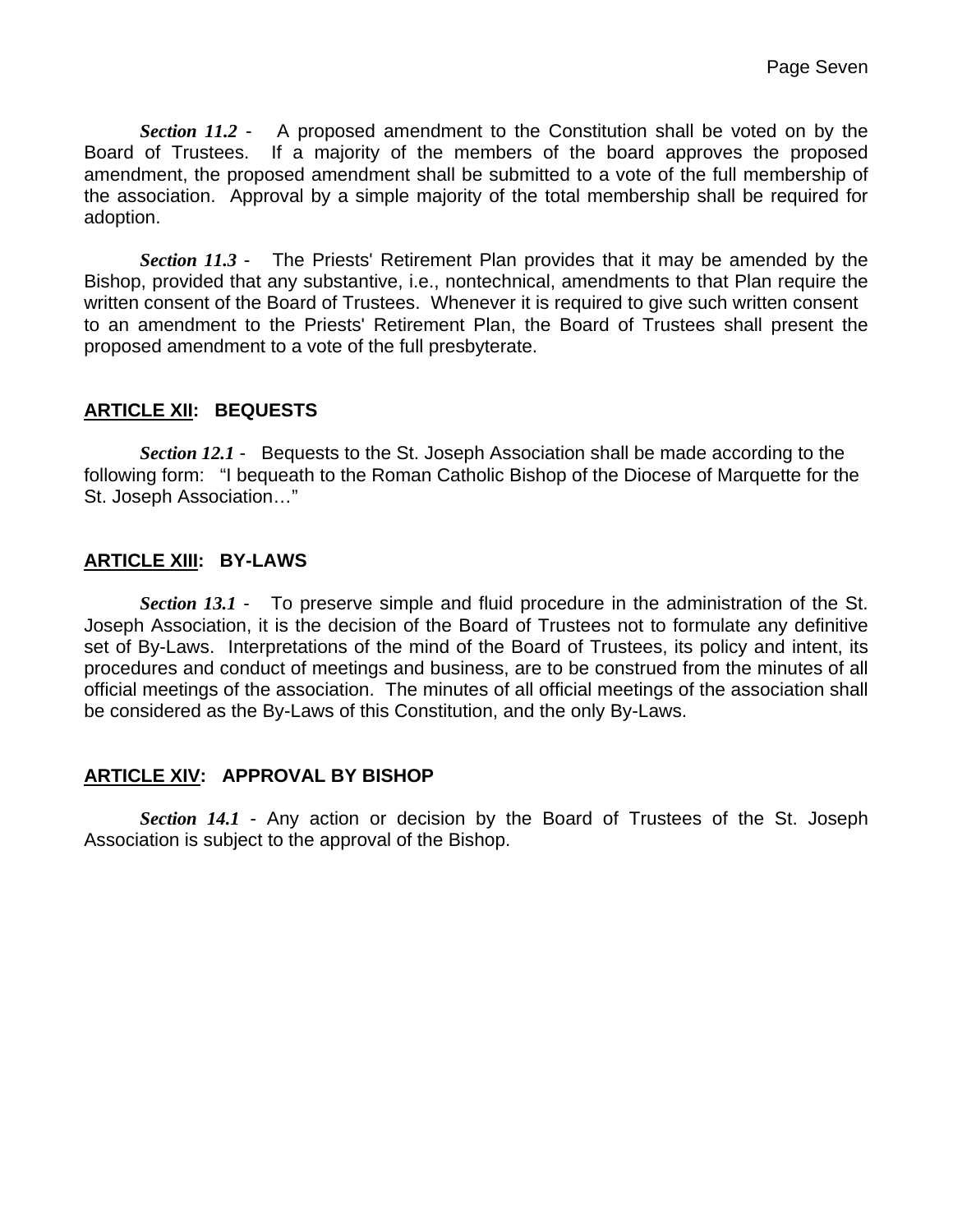*Section 11.2* - A proposed amendment to the Constitution shall be voted on by the Board of Trustees. If a majority of the members of the board approves the proposed amendment, the proposed amendment shall be submitted to a vote of the full membership of the association. Approval by a simple majority of the total membership shall be required for adoption.

*Section 11.3* - The Priests' Retirement Plan provides that it may be amended by the Bishop, provided that any substantive, i.e., nontechnical, amendments to that Plan require the written consent of the Board of Trustees. Whenever it is required to give such written consent to an amendment to the Priests' Retirement Plan, the Board of Trustees shall present the proposed amendment to a vote of the full presbyterate.

### **ARTICLE XII: BEQUESTS**

*Section 12.1* - Bequests to the St. Joseph Association shall be made according to the following form: "I bequeath to the Roman Catholic Bishop of the Diocese of Marquette for the St. Joseph Association…"

### **ARTICLE XIII: BY-LAWS**

*Section 13.1* - To preserve simple and fluid procedure in the administration of the St. Joseph Association, it is the decision of the Board of Trustees not to formulate any definitive set of By-Laws. Interpretations of the mind of the Board of Trustees, its policy and intent, its procedures and conduct of meetings and business, are to be construed from the minutes of all official meetings of the association. The minutes of all official meetings of the association shall be considered as the By-Laws of this Constitution, and the only By-Laws.

### **ARTICLE XIV: APPROVAL BY BISHOP**

*Section 14.1* - Any action or decision by the Board of Trustees of the St. Joseph Association is subject to the approval of the Bishop.